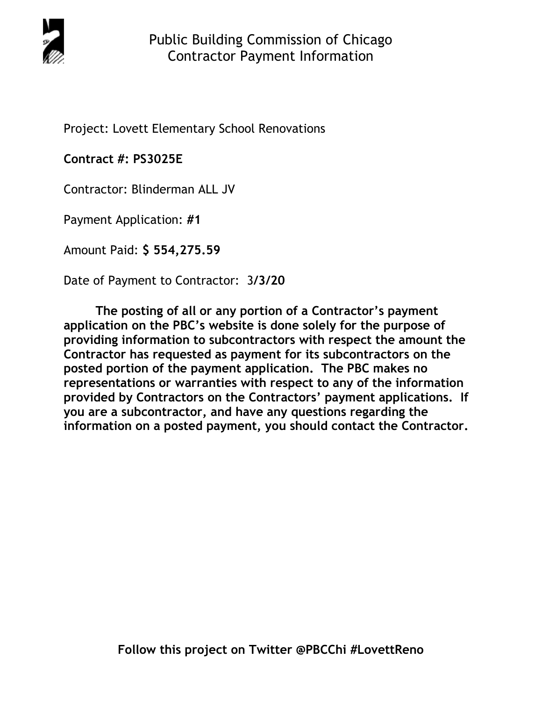

Project: Lovett Elementary School Renovations

**Contract #: PS3025E** 

Contractor: Blinderman ALL JV

Payment Application: **#1** 

Amount Paid: **\$ 554,275.59** 

Date of Payment to Contractor: 3**/3/20** 

**The posting of all or any portion of a Contractor's payment application on the PBC's website is done solely for the purpose of providing information to subcontractors with respect the amount the Contractor has requested as payment for its subcontractors on the posted portion of the payment application. The PBC makes no representations or warranties with respect to any of the information provided by Contractors on the Contractors' payment applications. If you are a subcontractor, and have any questions regarding the information on a posted payment, you should contact the Contractor.**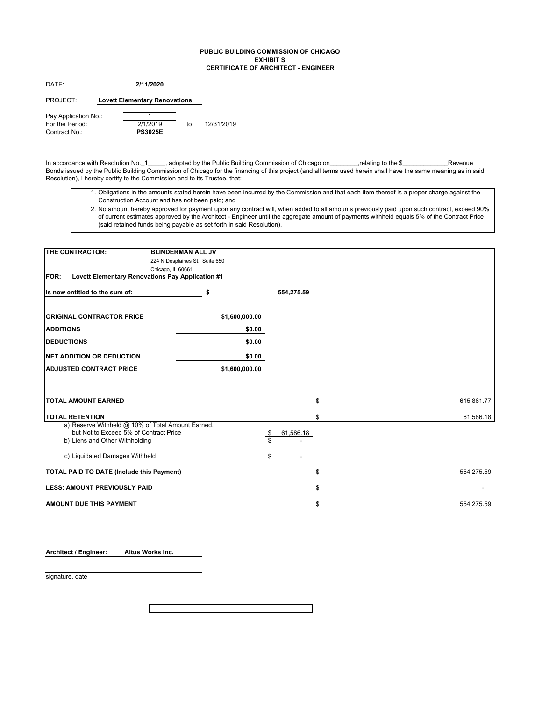### **PUBLIC BUILDING COMMISSION OF CHICAGO EXHIBIT S CERTIFICATE OF ARCHITECT - ENGINEER**

| г | 2/11/2020<br>. . |
|---|------------------|
|   |                  |

PROJECT: **Lovett Elementary Renovations**

to 12/31/2019 Pay Application No.:  $\frac{1}{2(1/2019)}$ For the Period:<br>
Contract No.: **2/1/2019**<br> **PS3025E** Contract No.:

In accordance with Resolution No.\_1\_\_\_\_\_, adopted by the Public Building Commission of Chicago on\_\_\_\_\_\_\_\_,relating to the \$\_\_\_\_\_\_\_\_\_\_\_\_\_Revenue Bonds issued by the Public Building Commission of Chicago for the financing of this project (and all terms used herein shall have the same meaning as in said Resolution), I hereby certify to the Commission and to its Trustee, that:

1. Obligations in the amounts stated herein have been incurred by the Commission and that each item thereof is a proper charge against the Construction Account and has not been paid; and

2. No amount hereby approved for payment upon any contract will, when added to all amounts previously paid upon such contract, exceed 90% of current estimates approved by the Architect - Engineer until the aggregate amount of payments withheld equals 5% of the Contract Price (said retained funds being payable as set forth in said Resolution).

| THE CONTRACTOR:                                                 | <b>BLINDERMAN ALL JV</b>        |                 |            |
|-----------------------------------------------------------------|---------------------------------|-----------------|------------|
|                                                                 | 224 N Desplaines St., Suite 650 |                 |            |
|                                                                 | Chicago, IL 60661               |                 |            |
| Lovett Elementary Renovations Pay Application #1<br><b>FOR:</b> |                                 |                 |            |
| Its now entitled to the sum of:                                 | \$                              | 554,275.59      |            |
| <b>ORIGINAL CONTRACTOR PRICE</b>                                | \$1,600,000.00                  |                 |            |
| <b>ADDITIONS</b>                                                | \$0.00                          |                 |            |
| <b>DEDUCTIONS</b>                                               | \$0.00                          |                 |            |
| <b>INET ADDITION OR DEDUCTION</b>                               | \$0.00                          |                 |            |
| <b>ADJUSTED CONTRACT PRICE</b>                                  | \$1,600,000.00                  |                 |            |
|                                                                 |                                 |                 |            |
| <b>TOTAL AMOUNT EARNED</b>                                      |                                 | \$              | 615,861.77 |
|                                                                 |                                 |                 |            |
| <b>TOTAL RETENTION</b>                                          |                                 | \$              | 61,586.18  |
| a) Reserve Withheld @ 10% of Total Amount Earned,               |                                 |                 |            |
| but Not to Exceed 5% of Contract Price                          |                                 | 61,586.18<br>\$ |            |
| b) Liens and Other Withholding                                  |                                 | \$              |            |
| c) Liquidated Damages Withheld                                  |                                 | \$              |            |
| <b>TOTAL PAID TO DATE (Include this Payment)</b>                |                                 | \$              | 554,275.59 |
| <b>LESS: AMOUNT PREVIOUSLY PAID</b>                             |                                 | \$              |            |
| <b>AMOUNT DUE THIS PAYMENT</b>                                  |                                 | \$              | 554,275.59 |

**Architect / Engineer: Altus Works Inc.**

signature, date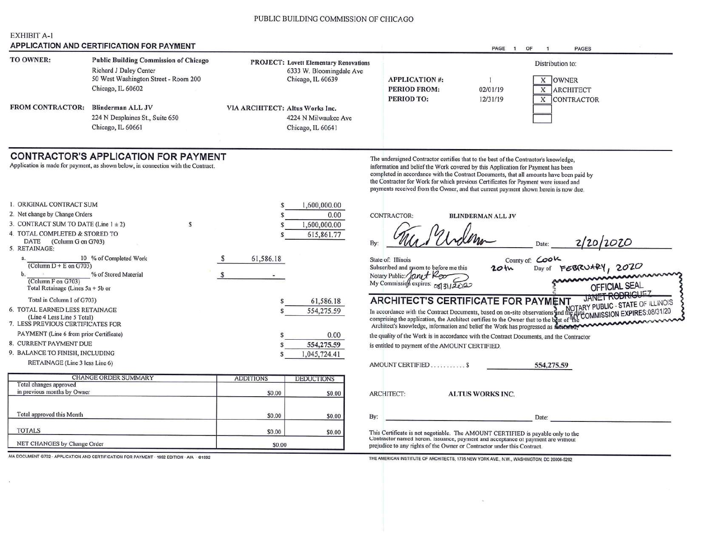### PUBLIC BUILDING COMMISSION OF CHICAGO

### **EXHIBIT A-1** APPLICATION AND CERTIFICATION FOR PAYMENT

|                         | $\cdots$ . Eivriport and vertical printing and all equal to            |                                                                           |                      | PAGE     | <b>PAGES</b><br>OF |  |
|-------------------------|------------------------------------------------------------------------|---------------------------------------------------------------------------|----------------------|----------|--------------------|--|
| TO OWNER:               | <b>Public Building Commission of Chicago</b><br>Richard J Daley Center | <b>PROJECT: Lovett Elementary Renovations</b><br>6333 W. Bloomingdale Ave |                      |          | Distribution to:   |  |
|                         | 50 West Washington Street - Room 200                                   | Chicago, IL 60639                                                         | <b>APPLICATION#:</b> |          | <b>OWNER</b>       |  |
|                         | Chicago, IL 60602                                                      |                                                                           | PERIOD FROM:         | 02/01/19 | <b>ARCHITECT</b>   |  |
|                         |                                                                        |                                                                           | <b>PERIOD TO:</b>    | 12/31/19 | <b>CONTRACTOR</b>  |  |
| <b>FROM CONTRACTOR:</b> | <b>Blinderman ALL JV</b>                                               | VIA ARCHITECT: Altus Works Inc.                                           |                      |          |                    |  |
|                         | 224 N Desplaines St., Suite 650                                        | 4224 N Milwaukee Ave                                                      |                      |          |                    |  |
|                         | Chicago, IL 60661                                                      | Chicago, IL 60641                                                         |                      |          |                    |  |
|                         |                                                                        |                                                                           |                      |          |                    |  |

**CONTRACTOR:** 

# **CONTRACTOR'S APPLICATION FOR PAYMENT**

Application is made for payment, as shown below, in connection with the Contract.

| RETAINAGE (Line 3 less Line 6)<br><b>CHANGE ORDER SUMMARY</b>                                    |                                                                                                                                              |   | <b>ADDITIONS</b> | <b>DEDUCTIONS</b> |
|--------------------------------------------------------------------------------------------------|----------------------------------------------------------------------------------------------------------------------------------------------|---|------------------|-------------------|
|                                                                                                  |                                                                                                                                              |   |                  |                   |
|                                                                                                  |                                                                                                                                              |   |                  |                   |
| 9. BALANCE TO FINISH, INCLUDING                                                                  |                                                                                                                                              |   |                  | 1,045,724.41      |
| 8. CURRENT PAYMENT DUE                                                                           |                                                                                                                                              |   |                  | 554,275.59        |
| PAYMENT (Line 6 from prior Certificate)                                                          |                                                                                                                                              |   |                  | 0.00              |
| (Line 4 Less Line 5 Total)<br>7. LESS PREVIOUS CERTIFICATES FOR                                  |                                                                                                                                              |   |                  |                   |
| 6. TOTAL EARNED LESS RETAINAGE                                                                   |                                                                                                                                              |   |                  | 554,275.59        |
| Total in Column I of G703)                                                                       |                                                                                                                                              |   |                  | 61,586.18         |
| $\mathbf b$ .<br>% of Stored Material<br>(Column F on G703)<br>Total Retainage (Lines 5a + 5b or |                                                                                                                                              |   |                  |                   |
| % of Completed Work<br>10<br>a.                                                                  |                                                                                                                                              | S | 61,586.18        |                   |
| DATE<br>(Column G on G703)<br>5. RETAINAGE:                                                      |                                                                                                                                              |   |                  | 615,861.77        |
|                                                                                                  |                                                                                                                                              |   |                  |                   |
|                                                                                                  |                                                                                                                                              |   |                  | 1,600,000.00      |
|                                                                                                  |                                                                                                                                              |   |                  | 0.00              |
| 1. ORIGINAL CONTRACT SUM                                                                         |                                                                                                                                              |   |                  | 1,600,000.00      |
|                                                                                                  | 2. Net change by Change Orders<br>3. CONTRACT SUM TO DATE (Line $1 \pm 2$ )<br>4. TOTAL COMPLETED & STORED TO<br>(Column $D + E$ on $G703$ ) | S |                  |                   |

| Total changes approved      |        |        |
|-----------------------------|--------|--------|
| in previous months by Owner | \$0.00 | \$0.00 |
| Total approved this Month   | \$0.00 | \$0.00 |
| <b>TOTALS</b>               | \$0.00 | \$0.00 |
| NET CHANGES by Change Order | \$0.00 |        |

AIA DOCUMENT G702 - APPLICATION AND CERTIFICATION FOR PAYMENT - 1992 EDITION - AIA - @1992

The undersigned Contractor certifies that to the best of the Contractor's knowledge, information and belief the Work covered by this Application for Payment has been completed in accordance with the Contract Documents, that all amounts have been paid by the Contractor for Work for which previous Certificates for Payment were issued and payments received from the Owner, and that current payment shown herein is now due.

**BLINDERMAN ALL JV** 

By: Date: County of: COOK State of: Illinois Subscribed and sworn to before me this  $20$ th Notary Public: Janet Roo Notary Public://*ONUT Report of 31/2020* 

Day of FEBRUARY, 2020 OFFICIAL SEAL

2/20/2020

**ARCHITECT'S CERTIFICATE FOR PAYMENT INOIS** In accordance with the Contract Documents, based on on-site observations and the data comprising the application, the Architect certifies to the Owner that to the best of the COMMISSIC<br>Architect's knowledge, information an Architect's knowledge, information and belief the Work has progressed as fullented?

the quality of the Work is in accordance with the Contract Documents, and the Contractor

is entitled to payment of the AMOUNT CERTIFIED.

| AMOUNT CERTIFIED \$ |                                                                                                                                                                     | 554,275.59 |  |
|---------------------|---------------------------------------------------------------------------------------------------------------------------------------------------------------------|------------|--|
| ARCHITECT:          | <b>ALTUS WORKS INC.</b>                                                                                                                                             |            |  |
| By:                 |                                                                                                                                                                     | Date:      |  |
|                     | This Certificate is not negotiable. The AMOUNT CERTIFIED is payable only to the<br>Contractor named herein. Issuance, payment and acceptance of payment are without |            |  |

prejudice to any rights of the Owner or Contractor under this Contract.

THE AMERICAN INSTITUTE OF ARCHITECTS, 1735 NEW YORK AVE., N.W., WASHINGTON, DC 20006-5292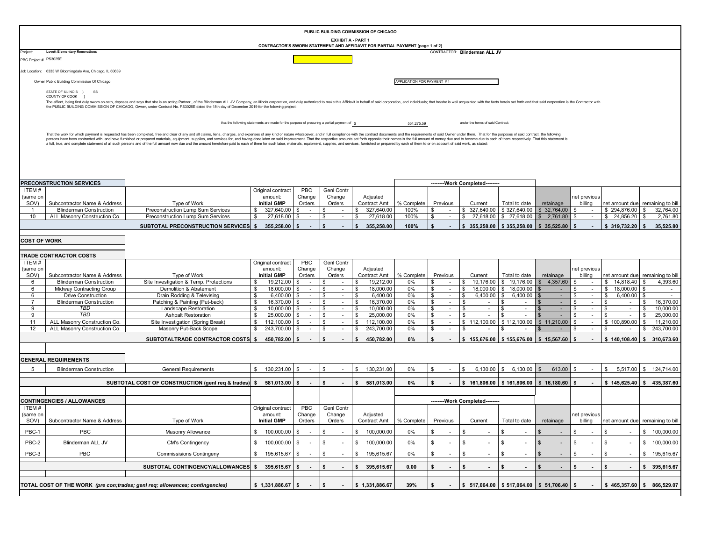|                       |                                                                                                                                                                                                                                                                                                                                                                               |                                                                                                                                                                                                                                                                                                                                                                                                                                                                 |                                                                                            |                              |                                |          | PUBLIC BUILDING COMMISSION OF CHICAGO |                            |                              |                                                                |                                                                |                                            |                                                                     |                                      |                                   |
|-----------------------|-------------------------------------------------------------------------------------------------------------------------------------------------------------------------------------------------------------------------------------------------------------------------------------------------------------------------------------------------------------------------------|-----------------------------------------------------------------------------------------------------------------------------------------------------------------------------------------------------------------------------------------------------------------------------------------------------------------------------------------------------------------------------------------------------------------------------------------------------------------|--------------------------------------------------------------------------------------------|------------------------------|--------------------------------|----------|---------------------------------------|----------------------------|------------------------------|----------------------------------------------------------------|----------------------------------------------------------------|--------------------------------------------|---------------------------------------------------------------------|--------------------------------------|-----------------------------------|
|                       |                                                                                                                                                                                                                                                                                                                                                                               |                                                                                                                                                                                                                                                                                                                                                                                                                                                                 | CONTRACTOR'S SWORN STATEMENT AND AFFIDAVIT FOR PARTIAL PAYMENT (page 1 of 2)               |                              | EXHIBIT A - PART 1             |          |                                       |                            |                              |                                                                |                                                                |                                            |                                                                     |                                      |                                   |
| roject:               | <b>Lovett Elementary Renovations</b>                                                                                                                                                                                                                                                                                                                                          |                                                                                                                                                                                                                                                                                                                                                                                                                                                                 |                                                                                            |                              |                                |          |                                       |                            |                              | CONTRACTOR: Blinderman ALL JV                                  |                                                                |                                            |                                                                     |                                      |                                   |
| PBC Project # PS3025E |                                                                                                                                                                                                                                                                                                                                                                               |                                                                                                                                                                                                                                                                                                                                                                                                                                                                 |                                                                                            |                              |                                |          |                                       |                            |                              |                                                                |                                                                |                                            |                                                                     |                                      |                                   |
|                       | Job Location: 6333 W Bloomingdale Ave, Chicago, IL 60639                                                                                                                                                                                                                                                                                                                      |                                                                                                                                                                                                                                                                                                                                                                                                                                                                 |                                                                                            |                              |                                |          |                                       |                            |                              |                                                                |                                                                |                                            |                                                                     |                                      |                                   |
|                       | Owner Public Building Commission Of Chicago                                                                                                                                                                                                                                                                                                                                   |                                                                                                                                                                                                                                                                                                                                                                                                                                                                 |                                                                                            |                              |                                |          |                                       | APPLICATION FOR PAYMENT #1 |                              |                                                                |                                                                |                                            |                                                                     |                                      |                                   |
|                       |                                                                                                                                                                                                                                                                                                                                                                               |                                                                                                                                                                                                                                                                                                                                                                                                                                                                 |                                                                                            |                              |                                |          |                                       |                            |                              |                                                                |                                                                |                                            |                                                                     |                                      |                                   |
|                       | STATE OF ILLINOIS }<br>SS<br>COUNTY OF COOK                                                                                                                                                                                                                                                                                                                                   |                                                                                                                                                                                                                                                                                                                                                                                                                                                                 |                                                                                            |                              |                                |          |                                       |                            |                              |                                                                |                                                                |                                            |                                                                     |                                      |                                   |
|                       | The affiant, being first duly sworn on oath, deposes and says that she is an acting Partner, of the Blinderman ALL JV Company, an Illinois corporation, and duly authorized to make this Affidavit in behalf of said corporati<br>the PUBLIC BUILDING COMMISSION OF CHICAGO, Owner, under Contract No. PS3025E dated the 18th day of December 2019 for the following project: |                                                                                                                                                                                                                                                                                                                                                                                                                                                                 |                                                                                            |                              |                                |          |                                       |                            |                              |                                                                |                                                                |                                            |                                                                     |                                      |                                   |
|                       |                                                                                                                                                                                                                                                                                                                                                                               |                                                                                                                                                                                                                                                                                                                                                                                                                                                                 |                                                                                            |                              |                                |          |                                       |                            |                              |                                                                |                                                                |                                            |                                                                     |                                      |                                   |
|                       |                                                                                                                                                                                                                                                                                                                                                                               |                                                                                                                                                                                                                                                                                                                                                                                                                                                                 | that the following statements are made for the purpose of procuring a partial payment of g |                              |                                |          |                                       | 554,275.59                 |                              | under the terms of said Contract;                              |                                                                |                                            |                                                                     |                                      |                                   |
|                       |                                                                                                                                                                                                                                                                                                                                                                               |                                                                                                                                                                                                                                                                                                                                                                                                                                                                 |                                                                                            |                              |                                |          |                                       |                            |                              |                                                                |                                                                |                                            |                                                                     |                                      |                                   |
|                       |                                                                                                                                                                                                                                                                                                                                                                               | That the work for which payment is requested has been completed, free and clear of any and all claims, liens, charges, and expenses of any kind or nature whatsoever, and in full compliance with the contract adocuments and<br>persons have been contracted with, and have furnished or prepared materials, equipment, supplies, and services for, and having done labor on said improvement. That the respective amounts set forth opposite their names is t |                                                                                            |                              |                                |          |                                       |                            |                              |                                                                |                                                                |                                            |                                                                     |                                      |                                   |
|                       |                                                                                                                                                                                                                                                                                                                                                                               | a full, true, and complete statement of all such persons and of the full amount now due and the amount heretofore paid to each of them for such labor, materials, equipment, supplies, and services, furnished or prepared by                                                                                                                                                                                                                                   |                                                                                            |                              |                                |          |                                       |                            |                              |                                                                |                                                                |                                            |                                                                     |                                      |                                   |
|                       |                                                                                                                                                                                                                                                                                                                                                                               |                                                                                                                                                                                                                                                                                                                                                                                                                                                                 |                                                                                            |                              |                                |          |                                       |                            |                              |                                                                |                                                                |                                            |                                                                     |                                      |                                   |
|                       |                                                                                                                                                                                                                                                                                                                                                                               |                                                                                                                                                                                                                                                                                                                                                                                                                                                                 |                                                                                            |                              |                                |          |                                       |                            |                              |                                                                |                                                                |                                            |                                                                     |                                      |                                   |
|                       |                                                                                                                                                                                                                                                                                                                                                                               |                                                                                                                                                                                                                                                                                                                                                                                                                                                                 |                                                                                            |                              |                                |          |                                       |                            |                              |                                                                |                                                                |                                            |                                                                     |                                      |                                   |
|                       |                                                                                                                                                                                                                                                                                                                                                                               |                                                                                                                                                                                                                                                                                                                                                                                                                                                                 |                                                                                            |                              |                                |          |                                       |                            |                              |                                                                |                                                                |                                            |                                                                     |                                      |                                   |
|                       | PRECONSTRUCTION SERVICES                                                                                                                                                                                                                                                                                                                                                      |                                                                                                                                                                                                                                                                                                                                                                                                                                                                 |                                                                                            |                              |                                |          |                                       |                            |                              | --------Work Completed--------                                 |                                                                |                                            |                                                                     |                                      |                                   |
| ITEM#<br>(same on     |                                                                                                                                                                                                                                                                                                                                                                               |                                                                                                                                                                                                                                                                                                                                                                                                                                                                 | Original contract<br>amount:                                                               | PBC<br>Change                | <b>Genl Contr</b><br>Change    |          | Adjusted                              |                            |                              |                                                                |                                                                |                                            | net previous                                                        |                                      |                                   |
| SOV)                  | Subcontractor Name & Address                                                                                                                                                                                                                                                                                                                                                  | Type of Work                                                                                                                                                                                                                                                                                                                                                                                                                                                    | <b>Initial GMP</b>                                                                         | Orders                       | Orders                         |          | Contract Amt                          | % Complete                 | Previous                     | Current                                                        | Total to date                                                  | retainage                                  | billing                                                             | net amount due remaining to bil      |                                   |
| -1                    | <b>Blinderman Construction</b>                                                                                                                                                                                                                                                                                                                                                | Preconstruction Lump Sum Services                                                                                                                                                                                                                                                                                                                                                                                                                               | 327,640.00<br>\$                                                                           | \$<br>$\sim$                 | S<br>$\sim$                    | \$       | 327,640.00                            | 100%                       | S<br>$\sim$                  |                                                                | $$327,640.00 \;   \; $327,640.00 \;   \;$                      | $$32,764.00$ \\$                           |                                                                     | $$294,876.00$ \ \$                   | 32,764.00                         |
| 10                    | ALL Masonry Construction Co.                                                                                                                                                                                                                                                                                                                                                  | Preconstruction Lump Sum Services                                                                                                                                                                                                                                                                                                                                                                                                                               | 27,618.00<br>\$                                                                            | S                            | \$.                            | <b>S</b> | 27,618.00                             | 100%                       | S                            | 27,618.00<br>\$                                                | \$ 27,618.00                                                   | 2,761.80<br>$\mathbb{S}$                   | \$                                                                  | \$<br>24,856.20                      | -S<br>2,761.80                    |
|                       |                                                                                                                                                                                                                                                                                                                                                                               | <b>SUBTOTAL PRECONSTRUCTION SERVICES</b> \$                                                                                                                                                                                                                                                                                                                                                                                                                     | 355,258.00                                                                                 |                              |                                | \$       | 355.258.00                            | 100%                       | - \$                         |                                                                | $$355,258.00 \;   \; $355,258.00 \;   \; $35,525.80 \;   \;$   |                                            |                                                                     | $$319,732.20$ \ \$                   | 35,525.80                         |
|                       |                                                                                                                                                                                                                                                                                                                                                                               |                                                                                                                                                                                                                                                                                                                                                                                                                                                                 |                                                                                            |                              |                                |          |                                       |                            |                              |                                                                |                                                                |                                            |                                                                     |                                      |                                   |
| <b>COST OF WORK</b>   |                                                                                                                                                                                                                                                                                                                                                                               |                                                                                                                                                                                                                                                                                                                                                                                                                                                                 |                                                                                            |                              |                                |          |                                       |                            |                              |                                                                |                                                                |                                            |                                                                     |                                      |                                   |
|                       |                                                                                                                                                                                                                                                                                                                                                                               |                                                                                                                                                                                                                                                                                                                                                                                                                                                                 |                                                                                            |                              |                                |          |                                       |                            |                              |                                                                |                                                                |                                            |                                                                     |                                      |                                   |
| ITEM#                 | <b>TRADE CONTRACTOR COSTS</b>                                                                                                                                                                                                                                                                                                                                                 |                                                                                                                                                                                                                                                                                                                                                                                                                                                                 | Original contract                                                                          | PBC                          | Genl Contr                     |          |                                       |                            |                              |                                                                |                                                                |                                            |                                                                     |                                      |                                   |
| (same on              |                                                                                                                                                                                                                                                                                                                                                                               |                                                                                                                                                                                                                                                                                                                                                                                                                                                                 | amount:                                                                                    | Change                       | Change                         |          | Adjusted                              |                            |                              |                                                                |                                                                |                                            | net previous                                                        |                                      |                                   |
| SOV)                  | Subcontractor Name & Address                                                                                                                                                                                                                                                                                                                                                  | Type of Work                                                                                                                                                                                                                                                                                                                                                                                                                                                    | <b>Initial GMP</b>                                                                         | Orders                       | Orders                         |          | Contract Amt                          | % Complete                 | Previous                     | Current                                                        | Total to date                                                  | retainage                                  | billing                                                             | net amount due remaining to bill     |                                   |
| 6                     | <b>Blinderman Construction</b>                                                                                                                                                                                                                                                                                                                                                | Site Investigation & Temp. Protections                                                                                                                                                                                                                                                                                                                                                                                                                          | 19,212.00<br>-S                                                                            | \$<br>$\sim$                 | -S                             | \$       | 19,212.00                             | 0%                         |                              | 19,176.00                                                      | \$19,176.00                                                    | 4,357.60                                   |                                                                     | \$<br>14.818.40                      | 4,393.60<br>S.                    |
| 6<br>6                | Midway Contracting Group<br><b>Drive Construction</b>                                                                                                                                                                                                                                                                                                                         | Demolition & Abatement<br>Drain Rodding & Televising                                                                                                                                                                                                                                                                                                                                                                                                            | \$<br>18,000.00<br>\$<br>6,400.00                                                          | \$<br>$\sim$<br>\$<br>$\sim$ | S.<br>$\sim$<br>\$<br>$\sim$   | \$<br>\$ | 18,000.00<br>6,400.00                 | 0%<br>0%                   | S.<br>$\sim$<br>\$<br>$\sim$ | \$<br><b>\$</b><br>6,400.00                                    | 18,000.00 \$ 18,000.00<br>\$<br>6,400.00                       | $\sim$                                     | \$.<br>$\overline{\phantom{a}}$<br>- \$<br>$\overline{\phantom{a}}$ | \$<br>18,000.00 \$<br>6,400.00<br>\$ | l \$                              |
| 7                     | <b>Blinderman Construction</b>                                                                                                                                                                                                                                                                                                                                                | Patching & Painting (Put-back)                                                                                                                                                                                                                                                                                                                                                                                                                                  | S.<br>16,370.00                                                                            | - \$<br>$\sim$               | S.<br>$\sim$                   | \$       | 16,370.00                             | 0%                         | S<br>$\sim$                  | - \$<br>$\sim$                                                 | \$<br>$\sim$                                                   | $\sim$                                     | \$                                                                  | \$.<br>$\sim$                        | \$.<br>16,370.00                  |
| 9                     | TBD                                                                                                                                                                                                                                                                                                                                                                           | Landscape Restoration                                                                                                                                                                                                                                                                                                                                                                                                                                           | \$<br>10,000.00                                                                            | - 35                         | \$<br>$\sim$                   | \$       | 10,000.00                             | 0%                         | -S<br>$\sim$                 | - \$<br>$\sim$                                                 | \$<br>$\sim$                                                   | $\sim$                                     | \$                                                                  | \$<br>$\sim$                         | 10,000.00<br>\$                   |
| 9                     | TBD                                                                                                                                                                                                                                                                                                                                                                           | <b>Ashpalt Restoration</b>                                                                                                                                                                                                                                                                                                                                                                                                                                      | S<br>25,000.00                                                                             | \$<br>$\sim$                 | \$<br>$\sim$                   | -\$      | 25,000.00                             | 0%                         | -S<br>$\sim$                 | - \$<br>$\sim$                                                 | \$<br>$\sim$                                                   | $\sim$                                     | \$.<br>$\overline{\phantom{a}}$                                     | \$.<br>$\sim$                        | \$<br>25,000.00                   |
| 11                    | ALL Masonry Construction Co.                                                                                                                                                                                                                                                                                                                                                  | Site Investigation (Spring Break)                                                                                                                                                                                                                                                                                                                                                                                                                               | S.<br>112,100.00                                                                           | - 35<br>$\sim$               | \$<br>$\sim$                   | \$       | 112,100.00                            | 0%                         | - \$<br>$\sim$               | \$112,100.00                                                   | \$112,100.00                                                   | \$11,210.00                                | \$                                                                  | \$100,890.00                         | 11,210.00<br>- \$                 |
| 12                    | ALL Masonry Construction Co.                                                                                                                                                                                                                                                                                                                                                  | Masonry Put-Back Scope                                                                                                                                                                                                                                                                                                                                                                                                                                          | \$<br>243,700.00                                                                           | - \$<br>$\sim$               | \$<br>$\sim$                   | \$       | 243,700.00                            | 0%                         | -S<br>$\sim$                 | -\$<br>$\sim$                                                  | \$                                                             |                                            | \$<br>$\overline{\phantom{a}}$                                      | \$<br>$\sim$                         | \$<br>243,700.00                  |
|                       |                                                                                                                                                                                                                                                                                                                                                                               | SUBTOTALTRADE CONTRACTOR COSTS \$450,782.00 \$                                                                                                                                                                                                                                                                                                                                                                                                                  |                                                                                            |                              |                                | \$       | 450,782.00                            | 0%                         | s                            |                                                                | $$155,676.00 \;   \; $155,676.00 \;   \; $15,567.60 \;   \; $$ |                                            |                                                                     | $$140,108.40 \;   \; $310,673.60$    |                                   |
|                       |                                                                                                                                                                                                                                                                                                                                                                               |                                                                                                                                                                                                                                                                                                                                                                                                                                                                 |                                                                                            |                              |                                |          |                                       |                            |                              |                                                                |                                                                |                                            |                                                                     |                                      |                                   |
|                       | <b>GENERAL REQUIREMENTS</b>                                                                                                                                                                                                                                                                                                                                                   |                                                                                                                                                                                                                                                                                                                                                                                                                                                                 |                                                                                            |                              |                                |          |                                       |                            |                              |                                                                |                                                                |                                            |                                                                     |                                      |                                   |
|                       |                                                                                                                                                                                                                                                                                                                                                                               |                                                                                                                                                                                                                                                                                                                                                                                                                                                                 |                                                                                            |                              |                                |          |                                       |                            |                              |                                                                |                                                                |                                            |                                                                     |                                      |                                   |
| 5                     | <b>Blinderman Construction</b>                                                                                                                                                                                                                                                                                                                                                | <b>General Requirements</b>                                                                                                                                                                                                                                                                                                                                                                                                                                     | \$ 130,231.00                                                                              | \$                           | \$.                            |          | \$<br>130,231.00                      | 0%                         | S                            | 6,130.00<br>\$                                                 | \$6,130.00                                                     | $613.00$ \$<br>\$                          |                                                                     | \$                                   | 5,517.00 \$ 124,714.00            |
|                       |                                                                                                                                                                                                                                                                                                                                                                               | SUBTOTAL COST OF CONSTRUCTION (genI req & trades) \$ 581,013.00                                                                                                                                                                                                                                                                                                                                                                                                 |                                                                                            | - \$                         |                                | s.       | 581,013.00                            | 0%                         | - \$                         | $$161,806.00 \;   \; $161,806.00 \;   \; $16,180.60 \;   \; $$ |                                                                |                                            |                                                                     |                                      | $$145,625.40 \;   \; $435,387.60$ |
|                       |                                                                                                                                                                                                                                                                                                                                                                               |                                                                                                                                                                                                                                                                                                                                                                                                                                                                 |                                                                                            |                              |                                |          |                                       |                            |                              |                                                                |                                                                |                                            |                                                                     |                                      |                                   |
|                       | <b>CONTINGENCIES / ALLOWANCES</b>                                                                                                                                                                                                                                                                                                                                             |                                                                                                                                                                                                                                                                                                                                                                                                                                                                 |                                                                                            |                              |                                |          |                                       |                            |                              | --------Work Completed--------                                 |                                                                |                                            |                                                                     |                                      |                                   |
| ITEM#                 |                                                                                                                                                                                                                                                                                                                                                                               |                                                                                                                                                                                                                                                                                                                                                                                                                                                                 | Original contract                                                                          | <b>PBC</b>                   | <b>Genl Contr</b>              |          |                                       |                            |                              |                                                                |                                                                |                                            |                                                                     |                                      |                                   |
| (same on              |                                                                                                                                                                                                                                                                                                                                                                               |                                                                                                                                                                                                                                                                                                                                                                                                                                                                 | amount:                                                                                    | Change                       | Change                         |          | Adjusted                              |                            |                              |                                                                |                                                                |                                            | net previous                                                        |                                      |                                   |
| SOV)                  | Subcontractor Name & Address                                                                                                                                                                                                                                                                                                                                                  | Type of Work                                                                                                                                                                                                                                                                                                                                                                                                                                                    | <b>Initial GMP</b>                                                                         | Orders                       | Orders                         |          | Contract Amt                          | % Complete                 | Previous                     | Current                                                        | Total to date                                                  | retainage                                  | billing                                                             | net amount due remaining to bill     |                                   |
| PBC-1                 | PBC                                                                                                                                                                                                                                                                                                                                                                           | Masonry Allowance                                                                                                                                                                                                                                                                                                                                                                                                                                               | $$100,000.00$ \$                                                                           | $\sim$                       | \$<br>$\sim$                   |          | \$ 100,000.00                         | 0%                         | \$<br>$\sim$                 | \$<br>$\sim$                                                   | $\mathsf{\$}$<br>$\overline{\phantom{a}}$                      | $\mathfrak{s}$<br>$\overline{\phantom{a}}$ | \$<br>$\sim$                                                        | \$<br>$\sim$                         | \$ 100,000.00                     |
| PBC-2                 | Blinderman ALL JV                                                                                                                                                                                                                                                                                                                                                             | CM's Contingency                                                                                                                                                                                                                                                                                                                                                                                                                                                | $$100,000.00$ \$                                                                           | $\sim$                       | \$<br>$\sim$                   |          | \$<br>100,000.00                      | 0%                         | \$<br>$\sim$                 | \$<br>$\sim$                                                   | \$                                                             | \$<br>$\overline{\phantom{a}}$             | \$<br>$\sim$                                                        | \$                                   | \$ 100,000.00                     |
|                       |                                                                                                                                                                                                                                                                                                                                                                               |                                                                                                                                                                                                                                                                                                                                                                                                                                                                 |                                                                                            |                              |                                |          |                                       |                            |                              |                                                                |                                                                |                                            |                                                                     |                                      |                                   |
| PBC-3                 | PBC                                                                                                                                                                                                                                                                                                                                                                           | <b>Commissisions Contingeny</b>                                                                                                                                                                                                                                                                                                                                                                                                                                 | $$ 195,615.67$ \\$                                                                         | $\sim$                       | \$<br>$\overline{\phantom{a}}$ |          | \$ 195,615.67                         | 0%                         | \$<br>$\sim$                 | <b>S</b><br>$\sim$                                             | \$                                                             | \$<br>$\overline{\phantom{a}}$             | \$<br>$\overline{\phantom{a}}$                                      | \$<br>$\sim$                         | \$ 195,615.67                     |
|                       |                                                                                                                                                                                                                                                                                                                                                                               | SUBTOTAL CONTINGENCY/ALLOWANCES \$ 395,615.67 \$                                                                                                                                                                                                                                                                                                                                                                                                                |                                                                                            |                              | \$                             |          | \$395,615.67                          | 0.00                       | \$<br>$\sim$                 | $\mathbf{s}$<br>$\mathbf{r}$                                   | \$<br>$\blacksquare$                                           | \$<br>$\blacksquare$                       | \$<br>$\blacksquare$                                                | \$<br>$\sim$                         | \$395,615.67                      |
|                       |                                                                                                                                                                                                                                                                                                                                                                               |                                                                                                                                                                                                                                                                                                                                                                                                                                                                 |                                                                                            |                              |                                |          |                                       |                            |                              |                                                                |                                                                |                                            |                                                                     |                                      |                                   |
|                       |                                                                                                                                                                                                                                                                                                                                                                               |                                                                                                                                                                                                                                                                                                                                                                                                                                                                 |                                                                                            |                              |                                |          |                                       |                            |                              |                                                                |                                                                |                                            |                                                                     |                                      |                                   |
|                       |                                                                                                                                                                                                                                                                                                                                                                               | TOTAL COST OF THE WORK (pre con;trades; genl reg; allowances; contingencies)                                                                                                                                                                                                                                                                                                                                                                                    | \$1,331,886.67                                                                             | \$                           | s.                             |          | \$1,331,886.67                        | 39%                        | \$                           |                                                                | $$517,064.00 \; $517,064.00 \; $51,706.40 \; $$                |                                            |                                                                     |                                      | $$465,357.60 \;   \; $866,529.07$ |
|                       |                                                                                                                                                                                                                                                                                                                                                                               |                                                                                                                                                                                                                                                                                                                                                                                                                                                                 |                                                                                            |                              |                                |          |                                       |                            |                              |                                                                |                                                                |                                            |                                                                     |                                      |                                   |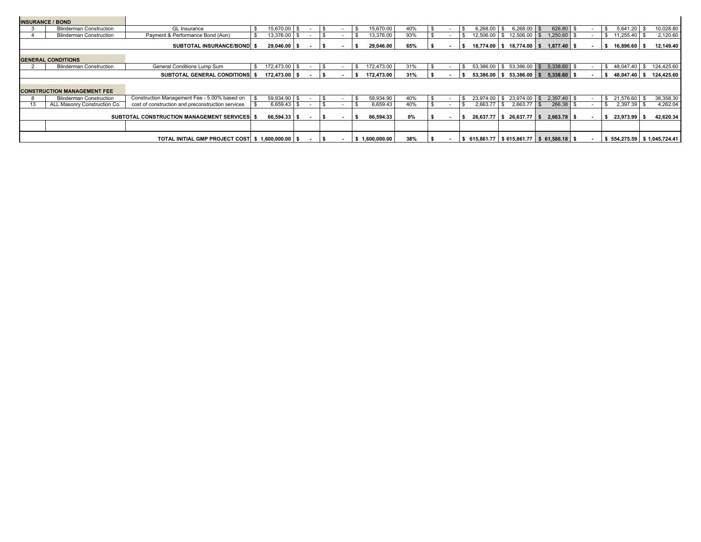|                                                | <b>INSURANCE / BOND</b>            |                                                   |              |                 |  |           |                |     |           |                                                                 |                               |               |               |    |              |               |           |                               |
|------------------------------------------------|------------------------------------|---------------------------------------------------|--------------|-----------------|--|-----------|----------------|-----|-----------|-----------------------------------------------------------------|-------------------------------|---------------|---------------|----|--------------|---------------|-----------|-------------------------------|
|                                                | <b>Blinderman Construction</b>     | <b>GL</b> Insurance                               | -S           | 15,670.00 \$    |  | -S        | 15,670.00      | 40% |           | \$<br>$6.268.00$ \$                                             |                               | $6.268.00$ \$ | 626.80 \$     |    | \$.          | $5,641.20$ \$ |           | 10,028.80                     |
|                                                | <b>Blinderman Construction</b>     | Payment & Performance Bond (Aon)                  |              | 13,376.00 \$    |  |           | 13,376.00      | 93% |           | $12,506.00$ \$ $12,506.00$ \$                                   |                               |               | $1,250.60$ \$ |    |              |               |           | 2,120.60                      |
|                                                |                                    | <b>SUBTOTAL INSURANCE/BOND \$</b>                 |              | $29,046.00$ \$  |  |           | 29,046.00      | 65% |           | $18,774.00$ \$ $18,774.00$ \$                                   |                               |               | $1.877.40$ \$ |    | s.           | 16,896.60 \$  |           | 12,149.40                     |
|                                                | <b>GENERAL CONDITIONS</b>          |                                                   |              |                 |  |           |                |     |           |                                                                 |                               |               |               |    |              |               |           |                               |
|                                                | <b>Blinderman Construction</b>     | General Conditions Lump Sum                       | S.           | 172.473.00 \$   |  | \$.       | 172,473.00     | 31% |           |                                                                 |                               |               |               |    |              | \$48,047.40   | <b>S</b>  | 124,425.60                    |
|                                                |                                    | <b>SUBTOTAL GENERAL CONDITIONS \$</b>             |              | $172,473.00$ \$ |  |           | 172.473.00     | 31% |           | $53,386.00$ \$ $53,386.00$ \$                                   |                               |               | $5,338.60$ \$ |    | s.           | 48.047.40 \$  |           | 124,425.60                    |
|                                                | <b>CONSTRUCTION MANAGEMENT FEE</b> |                                                   |              |                 |  |           |                |     |           |                                                                 |                               |               |               |    |              |               |           |                               |
|                                                | <b>Blinderman Construction</b>     | Construction Management Fee - 5.00% based on      |              | 59,934.90 \$    |  |           | 59,934.90      | 40% |           | \$<br>23,974.00 \$ 23,974.00 \$ 2,397.40 \$                     |                               |               |               |    |              | \$ 21,576.60  | - \$      | 38,358.30                     |
| 13                                             | ALL Masonry Construction Co.       | cost of construction and preconstruction services |              | $6,659.43$ \$   |  |           | 6,659.43       | 40% |           | 2,663.77                                                        | - \$                          | $2,663.77$ \$ | 266.38 \$     |    | \$.          | $2,397.39$ \$ |           | 4,262.04                      |
| SUBTOTAL CONSTRUCTION MANAGEMENT SERVICES   \$ |                                    |                                                   | 66,594.33 \$ |                 |  | 66,594.33 | 0%             |     | 26.637.77 |                                                                 | $\frac{1}{2}$ \$ 26,637.77 \$ | $2.663.78$ \$ |               | \$ | 23,973.99 \$ |               | 42,620.34 |                               |
|                                                |                                    |                                                   |              |                 |  |           |                |     |           |                                                                 |                               |               |               |    |              |               |           |                               |
|                                                |                                    | TOTAL INITIAL GMP PROJECT COST \$ 1,600,000.00 \$ |              |                 |  |           | \$1,600,000.00 | 38% |           | $$615,861.77 \;   \; $615,861.77 \;   \; $61,586.18 \;   \; $$$ |                               |               |               |    |              |               |           | $$554,275.59$ $$1,045,724.41$ |